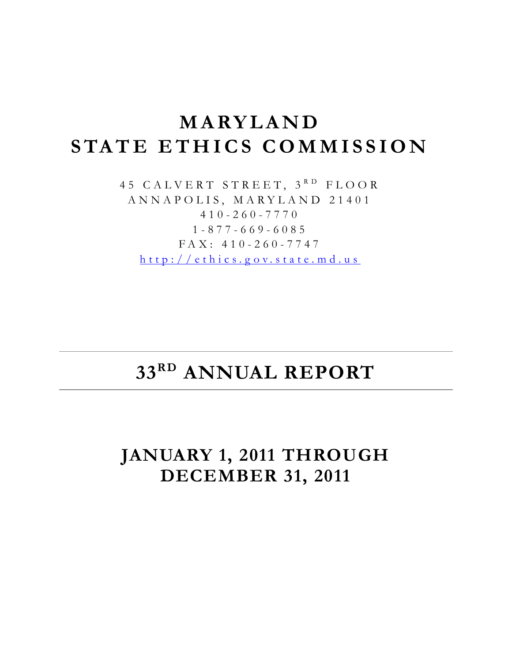# **MARYLAND STATE ETHICS COMMISSION**

45 CALVERT STREET, 3<sup>RD</sup> FLOOR ANNAPOLIS, MARYLAND 21401 410-260-7770 1-877-669-6085 FAX: 410-260-7747 [http://ethics.g ov.state.md.us](http://ethics.gov.state.md.us/)

# **33RD ANNUAL REPORT**

## **JANUARY 1, 2011 THROUGH DECEMBER 31, 2011**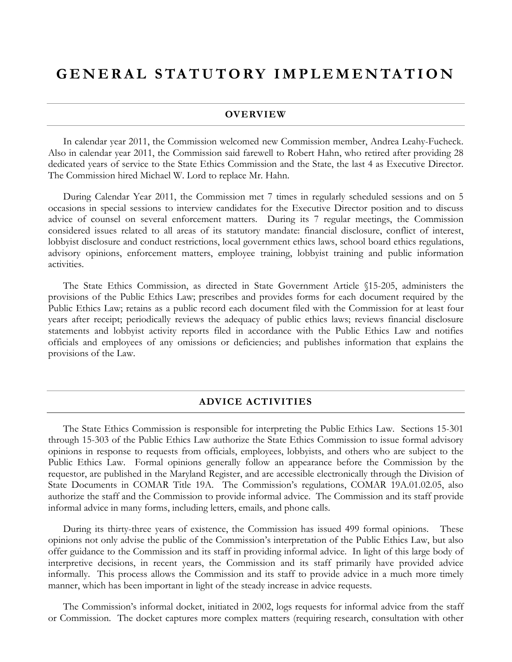## **GENERAL STATUTORY IMPLEMENTATION**

#### **OVERVIEW**

In calendar year 2011, the Commission welcomed new Commission member, Andrea Leahy-Fucheck. Also in calendar year 2011, the Commission said farewell to Robert Hahn, who retired after providing 28 dedicated years of service to the State Ethics Commission and the State, the last 4 as Executive Director. The Commission hired Michael W. Lord to replace Mr. Hahn.

During Calendar Year 2011, the Commission met 7 times in regularly scheduled sessions and on 5 occasions in special sessions to interview candidates for the Executive Director position and to discuss advice of counsel on several enforcement matters. During its 7 regular meetings, the Commission considered issues related to all areas of its statutory mandate: financial disclosure, conflict of interest, lobbyist disclosure and conduct restrictions, local government ethics laws, school board ethics regulations, advisory opinions, enforcement matters, employee training, lobbyist training and public information activities.

The State Ethics Commission, as directed in State Government Article §15-205, administers the provisions of the Public Ethics Law; prescribes and provides forms for each document required by the Public Ethics Law; retains as a public record each document filed with the Commission for at least four years after receipt; periodically reviews the adequacy of public ethics laws; reviews financial disclosure statements and lobbyist activity reports filed in accordance with the Public Ethics Law and notifies officials and employees of any omissions or deficiencies; and publishes information that explains the provisions of the Law.

#### **ADVICE ACTIVITIES**

The State Ethics Commission is responsible for interpreting the Public Ethics Law. Sections 15-301 through 15-303 of the Public Ethics Law authorize the State Ethics Commission to issue formal advisory opinions in response to requests from officials, employees, lobbyists, and others who are subject to the Public Ethics Law. Formal opinions generally follow an appearance before the Commission by the requestor, are published in the Maryland Register, and are accessible electronically through the Division of State Documents in COMAR Title 19A. The Commission's regulations, COMAR 19A.01.02.05, also authorize the staff and the Commission to provide informal advice. The Commission and its staff provide informal advice in many forms, including letters, emails, and phone calls.

During its thirty-three years of existence, the Commission has issued 499 formal opinions. These opinions not only advise the public of the Commission's interpretation of the Public Ethics Law, but also offer guidance to the Commission and its staff in providing informal advice. In light of this large body of interpretive decisions, in recent years, the Commission and its staff primarily have provided advice informally. This process allows the Commission and its staff to provide advice in a much more timely manner, which has been important in light of the steady increase in advice requests.

The Commission's informal docket, initiated in 2002, logs requests for informal advice from the staff or Commission. The docket captures more complex matters (requiring research, consultation with other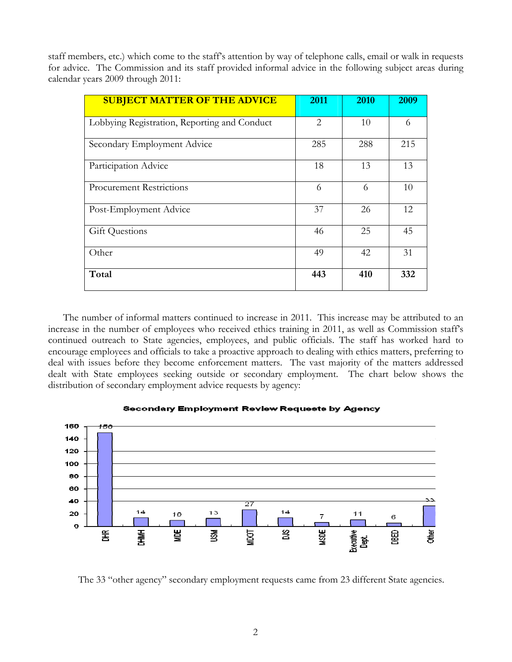staff members, etc.) which come to the staff's attention by way of telephone calls, email or walk in requests for advice. The Commission and its staff provided informal advice in the following subject areas during calendar years 2009 through 2011:

| <b>SUBJECT MATTER OF THE ADVICE</b>          | 2011           | 2010 | 2009 |
|----------------------------------------------|----------------|------|------|
| Lobbying Registration, Reporting and Conduct | $\overline{2}$ | 10   | 6    |
| Secondary Employment Advice                  | 285            | 288  | 215  |
| Participation Advice                         | 18             | 13   | 13   |
| <b>Procurement Restrictions</b>              | 6              | 6    | 10   |
| Post-Employment Advice                       | 37             | 26   | 12   |
| <b>Gift Questions</b>                        | 46             | 25   | 45   |
| Other                                        | 49             | 42   | 31   |
| Total                                        | 443            | 410  | 332  |

The number of informal matters continued to increase in 2011. This increase may be attributed to an increase in the number of employees who received ethics training in 2011, as well as Commission staff's continued outreach to State agencies, employees, and public officials. The staff has worked hard to encourage employees and officials to take a proactive approach to dealing with ethics matters, preferring to deal with issues before they become enforcement matters. The vast majority of the matters addressed dealt with State employees seeking outside or secondary employment. The chart below shows the distribution of secondary employment advice requests by agency:



#### Secondary Employment Review Requests by Agency

The 33 "other agency" secondary employment requests came from 23 different State agencies.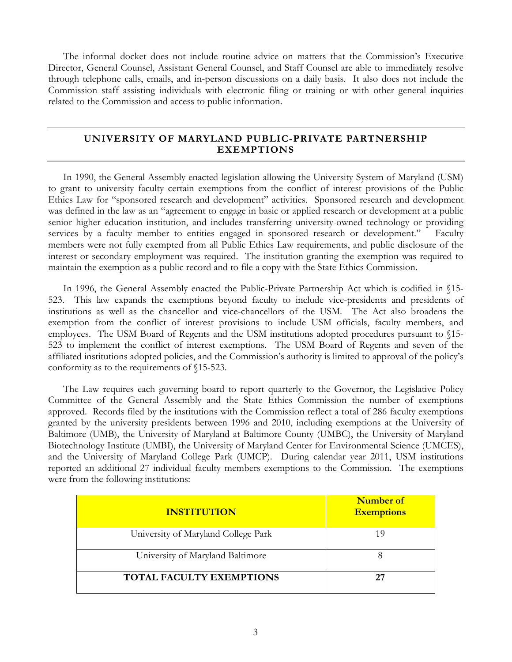The informal docket does not include routine advice on matters that the Commission's Executive Director, General Counsel, Assistant General Counsel, and Staff Counsel are able to immediately resolve through telephone calls, emails, and in-person discussions on a daily basis. It also does not include the Commission staff assisting individuals with electronic filing or training or with other general inquiries related to the Commission and access to public information.

#### **UNIVERSITY OF MARYLAND PUBLIC-PRIVATE PARTNERSHIP EXEMPTIONS**

In 1990, the General Assembly enacted legislation allowing the University System of Maryland (USM) to grant to university faculty certain exemptions from the conflict of interest provisions of the Public Ethics Law for "sponsored research and development" activities. Sponsored research and development was defined in the law as an "agreement to engage in basic or applied research or development at a public senior higher education institution, and includes transferring university-owned technology or providing services by a faculty member to entities engaged in sponsored research or development." Faculty members were not fully exempted from all Public Ethics Law requirements, and public disclosure of the interest or secondary employment was required. The institution granting the exemption was required to maintain the exemption as a public record and to file a copy with the State Ethics Commission.

In 1996, the General Assembly enacted the Public-Private Partnership Act which is codified in §15- 523. This law expands the exemptions beyond faculty to include vice-presidents and presidents of institutions as well as the chancellor and vice-chancellors of the USM. The Act also broadens the exemption from the conflict of interest provisions to include USM officials, faculty members, and employees. The USM Board of Regents and the USM institutions adopted procedures pursuant to §15- 523 to implement the conflict of interest exemptions. The USM Board of Regents and seven of the affiliated institutions adopted policies, and the Commission's authority is limited to approval of the policy's conformity as to the requirements of §15-523.

The Law requires each governing board to report quarterly to the Governor, the Legislative Policy Committee of the General Assembly and the State Ethics Commission the number of exemptions approved. Records filed by the institutions with the Commission reflect a total of 286 faculty exemptions granted by the university presidents between 1996 and 2010, including exemptions at the University of Baltimore (UMB), the University of Maryland at Baltimore County (UMBC), the University of Maryland Biotechnology Institute (UMBI), the University of Maryland Center for Environmental Science (UMCES), and the University of Maryland College Park (UMCP). During calendar year 2011, USM institutions reported an additional 27 individual faculty members exemptions to the Commission. The exemptions were from the following institutions:

| <b>INSTITUTION</b>                  | Number of<br><b>Exemptions</b> |
|-------------------------------------|--------------------------------|
| University of Maryland College Park |                                |
| University of Maryland Baltimore    |                                |
| <b>TOTAL FACULTY EXEMPTIONS</b>     |                                |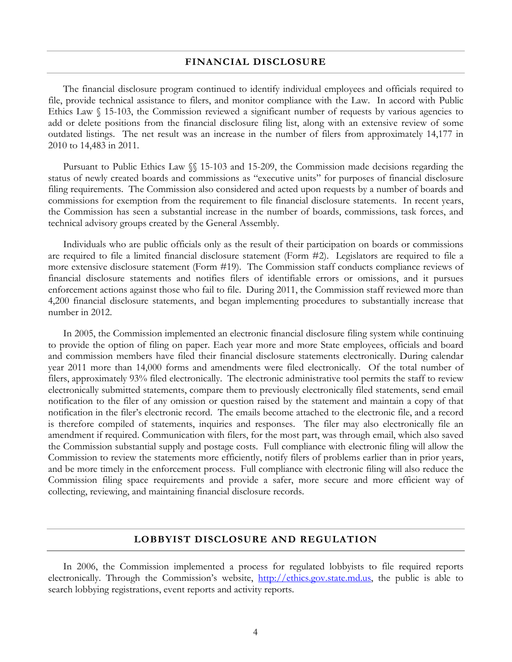#### **FINANCIAL DISCLOSURE**

The financial disclosure program continued to identify individual employees and officials required to file, provide technical assistance to filers, and monitor compliance with the Law. In accord with Public Ethics Law § 15-103, the Commission reviewed a significant number of requests by various agencies to add or delete positions from the financial disclosure filing list, along with an extensive review of some outdated listings. The net result was an increase in the number of filers from approximately 14,177 in 2010 to 14,483 in 2011.

Pursuant to Public Ethics Law §§ 15-103 and 15-209, the Commission made decisions regarding the status of newly created boards and commissions as "executive units" for purposes of financial disclosure filing requirements. The Commission also considered and acted upon requests by a number of boards and commissions for exemption from the requirement to file financial disclosure statements. In recent years, the Commission has seen a substantial increase in the number of boards, commissions, task forces, and technical advisory groups created by the General Assembly.

Individuals who are public officials only as the result of their participation on boards or commissions are required to file a limited financial disclosure statement (Form #2). Legislators are required to file a more extensive disclosure statement (Form #19). The Commission staff conducts compliance reviews of financial disclosure statements and notifies filers of identifiable errors or omissions, and it pursues enforcement actions against those who fail to file. During 2011, the Commission staff reviewed more than 4,200 financial disclosure statements, and began implementing procedures to substantially increase that number in 2012.

In 2005, the Commission implemented an electronic financial disclosure filing system while continuing to provide the option of filing on paper. Each year more and more State employees, officials and board and commission members have filed their financial disclosure statements electronically. During calendar year 2011 more than 14,000 forms and amendments were filed electronically. Of the total number of filers, approximately 93% filed electronically. The electronic administrative tool permits the staff to review electronically submitted statements, compare them to previously electronically filed statements, send email notification to the filer of any omission or question raised by the statement and maintain a copy of that notification in the filer's electronic record. The emails become attached to the electronic file, and a record is therefore compiled of statements, inquiries and responses. The filer may also electronically file an amendment if required. Communication with filers, for the most part, was through email, which also saved the Commission substantial supply and postage costs. Full compliance with electronic filing will allow the Commission to review the statements more efficiently, notify filers of problems earlier than in prior years, and be more timely in the enforcement process. Full compliance with electronic filing will also reduce the Commission filing space requirements and provide a safer, more secure and more efficient way of collecting, reviewing, and maintaining financial disclosure records.

#### **LOBBYIST DISCLOSURE AND REGULATION**

 In 2006, the Commission implemented a process for regulated lobbyists to file required reports electronically. Through the Commission's website, [http://ethics.gov.state.md.us,](http://ethics.gov.state.md.us/) the public is able to search lobbying registrations, event reports and activity reports.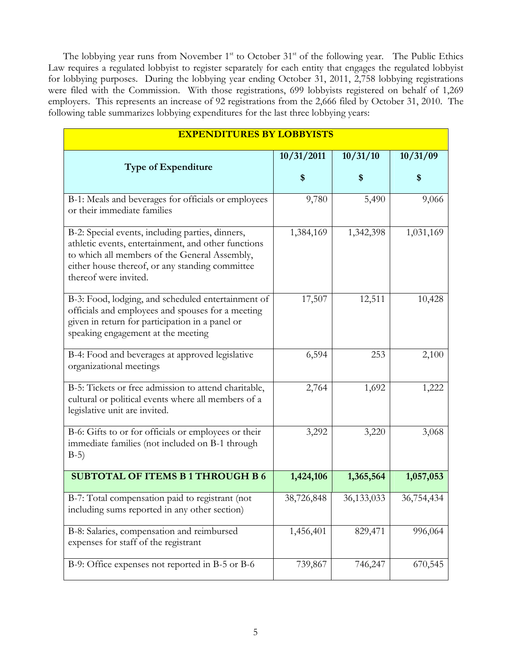The lobbying year runs from November 1<sup>st</sup> to October 31<sup>st</sup> of the following year. The Public Ethics Law requires a regulated lobbyist to register separately for each entity that engages the regulated lobbyist for lobbying purposes. During the lobbying year ending October 31, 2011, 2,758 lobbying registrations were filed with the Commission. With those registrations, 699 lobbyists registered on behalf of 1,269 employers. This represents an increase of 92 registrations from the 2,666 filed by October 31, 2010. The following table summarizes lobbying expenditures for the last three lobbying years:

| <b>EXPENDITURES BY LOBBYISTS</b>                                                                                                                                                                                                     |            |            |            |  |
|--------------------------------------------------------------------------------------------------------------------------------------------------------------------------------------------------------------------------------------|------------|------------|------------|--|
| <b>Type of Expenditure</b>                                                                                                                                                                                                           | 10/31/2011 | 10/31/10   | 10/31/09   |  |
|                                                                                                                                                                                                                                      | \$         | \$         | \$         |  |
| B-1: Meals and beverages for officials or employees<br>or their immediate families                                                                                                                                                   | 9,780      | 5,490      | 9,066      |  |
| B-2: Special events, including parties, dinners,<br>athletic events, entertainment, and other functions<br>to which all members of the General Assembly,<br>either house thereof, or any standing committee<br>thereof were invited. | 1,384,169  | 1,342,398  | 1,031,169  |  |
| B-3: Food, lodging, and scheduled entertainment of<br>officials and employees and spouses for a meeting<br>given in return for participation in a panel or<br>speaking engagement at the meeting                                     | 17,507     | 12,511     | 10,428     |  |
| B-4: Food and beverages at approved legislative<br>organizational meetings                                                                                                                                                           | 6,594      | 253        | 2,100      |  |
| B-5: Tickets or free admission to attend charitable,<br>cultural or political events where all members of a<br>legislative unit are invited.                                                                                         | 2,764      | 1,692      | 1,222      |  |
| B-6: Gifts to or for officials or employees or their<br>immediate families (not included on B-1 through<br>$B-5)$                                                                                                                    | 3,292      | 3,220      | 3,068      |  |
| <b>SUBTOTAL OF ITEMS B1THROUGH B6</b>                                                                                                                                                                                                | 1,424,106  | 1,365,564  | 1,057,053  |  |
| B-7: Total compensation paid to registrant (not<br>including sums reported in any other section)                                                                                                                                     | 38,726,848 | 36,133,033 | 36,754,434 |  |
| B-8: Salaries, compensation and reimbursed<br>expenses for staff of the registrant                                                                                                                                                   | 1,456,401  | 829,471    | 996,064    |  |
| B-9: Office expenses not reported in B-5 or B-6                                                                                                                                                                                      | 739,867    | 746,247    | 670,545    |  |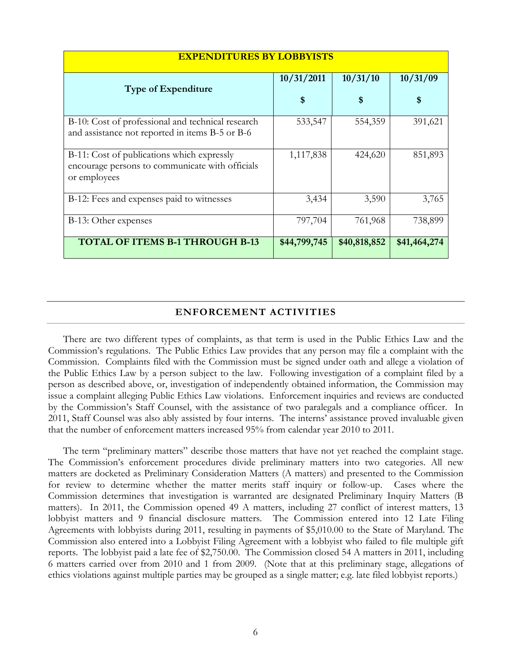| <b>EXPENDITURES BY LOBBYISTS</b>                                                                              |              |              |              |
|---------------------------------------------------------------------------------------------------------------|--------------|--------------|--------------|
| <b>Type of Expenditure</b>                                                                                    | 10/31/2011   | 10/31/10     | 10/31/09     |
|                                                                                                               | \$           | \$           | \$           |
| B-10: Cost of professional and technical research<br>and assistance not reported in items B-5 or B-6          | 533,547      | 554,359      | 391,621      |
| B-11: Cost of publications which expressly<br>encourage persons to communicate with officials<br>or employees | 1,117,838    | 424,620      | 851,893      |
| B-12: Fees and expenses paid to witnesses                                                                     | 3,434        | 3,590        | 3,765        |
| B-13: Other expenses                                                                                          | 797,704      | 761,968      | 738,899      |
| <b>TOTAL OF ITEMS B-1 THROUGH B-13</b>                                                                        | \$44,799,745 | \$40,818,852 | \$41,464,274 |

#### **ENFORCEMENT ACTIVITIES**

There are two different types of complaints, as that term is used in the Public Ethics Law and the Commission's regulations. The Public Ethics Law provides that any person may file a complaint with the Commission. Complaints filed with the Commission must be signed under oath and allege a violation of the Public Ethics Law by a person subject to the law. Following investigation of a complaint filed by a person as described above, or, investigation of independently obtained information, the Commission may issue a complaint alleging Public Ethics Law violations. Enforcement inquiries and reviews are conducted by the Commission's Staff Counsel, with the assistance of two paralegals and a compliance officer. In 2011, Staff Counsel was also ably assisted by four interns. The interns' assistance proved invaluable given that the number of enforcement matters increased 95% from calendar year 2010 to 2011.

The term "preliminary matters" describe those matters that have not yet reached the complaint stage. The Commission's enforcement procedures divide preliminary matters into two categories. All new matters are docketed as Preliminary Consideration Matters (A matters) and presented to the Commission for review to determine whether the matter merits staff inquiry or follow-up. Cases where the Commission determines that investigation is warranted are designated Preliminary Inquiry Matters (B matters). In 2011, the Commission opened 49 A matters, including 27 conflict of interest matters, 13 lobbyist matters and 9 financial disclosure matters. The Commission entered into 12 Late Filing Agreements with lobbyists during 2011, resulting in payments of \$5,010.00 to the State of Maryland. The Commission also entered into a Lobbyist Filing Agreement with a lobbyist who failed to file multiple gift reports. The lobbyist paid a late fee of \$2,750.00. The Commission closed 54 A matters in 2011, including 6 matters carried over from 2010 and 1 from 2009. (Note that at this preliminary stage, allegations of ethics violations against multiple parties may be grouped as a single matter; e.g. late filed lobbyist reports.)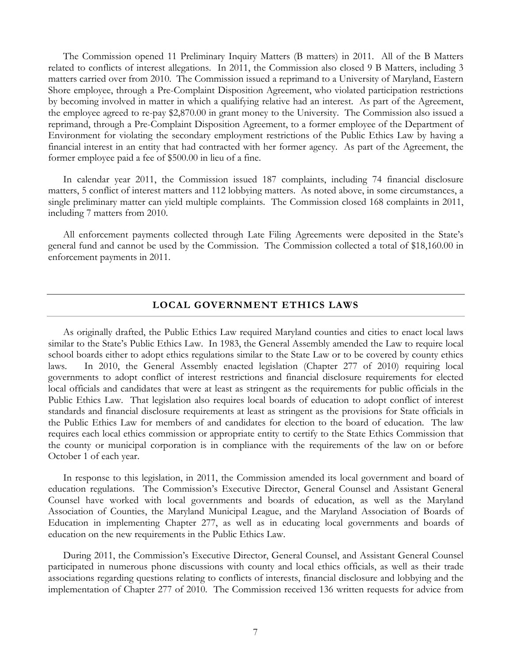The Commission opened 11 Preliminary Inquiry Matters (B matters) in 2011. All of the B Matters related to conflicts of interest allegations. In 2011, the Commission also closed 9 B Matters, including 3 matters carried over from 2010. The Commission issued a reprimand to a University of Maryland, Eastern Shore employee, through a Pre-Complaint Disposition Agreement, who violated participation restrictions by becoming involved in matter in which a qualifying relative had an interest. As part of the Agreement, the employee agreed to re-pay \$2,870.00 in grant money to the University. The Commission also issued a reprimand, through a Pre-Complaint Disposition Agreement, to a former employee of the Department of Environment for violating the secondary employment restrictions of the Public Ethics Law by having a financial interest in an entity that had contracted with her former agency. As part of the Agreement, the former employee paid a fee of \$500.00 in lieu of a fine.

 In calendar year 2011, the Commission issued 187 complaints, including 74 financial disclosure matters, 5 conflict of interest matters and 112 lobbying matters. As noted above, in some circumstances, a single preliminary matter can yield multiple complaints. The Commission closed 168 complaints in 2011, including 7 matters from 2010.

All enforcement payments collected through Late Filing Agreements were deposited in the State's general fund and cannot be used by the Commission. The Commission collected a total of \$18,160.00 in enforcement payments in 2011.

#### **LOCAL GOVERNMENT ETHICS LAWS**

As originally drafted, the Public Ethics Law required Maryland counties and cities to enact local laws similar to the State's Public Ethics Law. In 1983, the General Assembly amended the Law to require local school boards either to adopt ethics regulations similar to the State Law or to be covered by county ethics laws. In 2010, the General Assembly enacted legislation (Chapter 277 of 2010) requiring local governments to adopt conflict of interest restrictions and financial disclosure requirements for elected local officials and candidates that were at least as stringent as the requirements for public officials in the Public Ethics Law. That legislation also requires local boards of education to adopt conflict of interest standards and financial disclosure requirements at least as stringent as the provisions for State officials in the Public Ethics Law for members of and candidates for election to the board of education. The law requires each local ethics commission or appropriate entity to certify to the State Ethics Commission that the county or municipal corporation is in compliance with the requirements of the law on or before October 1 of each year.

In response to this legislation, in 2011, the Commission amended its local government and board of education regulations. The Commission's Executive Director, General Counsel and Assistant General Counsel have worked with local governments and boards of education, as well as the Maryland Association of Counties, the Maryland Municipal League, and the Maryland Association of Boards of Education in implementing Chapter 277, as well as in educating local governments and boards of education on the new requirements in the Public Ethics Law.

During 2011, the Commission's Executive Director, General Counsel, and Assistant General Counsel participated in numerous phone discussions with county and local ethics officials, as well as their trade associations regarding questions relating to conflicts of interests, financial disclosure and lobbying and the implementation of Chapter 277 of 2010. The Commission received 136 written requests for advice from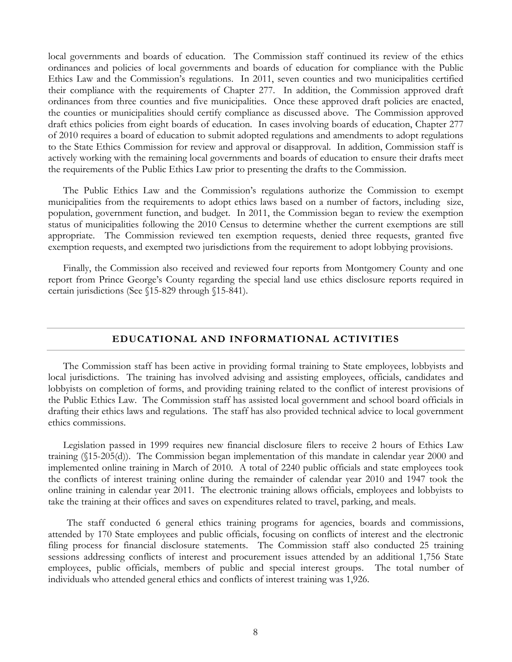local governments and boards of education. The Commission staff continued its review of the ethics ordinances and policies of local governments and boards of education for compliance with the Public Ethics Law and the Commission's regulations. In 2011, seven counties and two municipalities certified their compliance with the requirements of Chapter 277. In addition, the Commission approved draft ordinances from three counties and five municipalities. Once these approved draft policies are enacted, the counties or municipalities should certify compliance as discussed above. The Commission approved draft ethics policies from eight boards of education. In cases involving boards of education, Chapter 277 of 2010 requires a board of education to submit adopted regulations and amendments to adopt regulations to the State Ethics Commission for review and approval or disapproval. In addition, Commission staff is actively working with the remaining local governments and boards of education to ensure their drafts meet the requirements of the Public Ethics Law prior to presenting the drafts to the Commission.

The Public Ethics Law and the Commission's regulations authorize the Commission to exempt municipalities from the requirements to adopt ethics laws based on a number of factors, including size, population, government function, and budget. In 2011, the Commission began to review the exemption status of municipalities following the 2010 Census to determine whether the current exemptions are still appropriate. The Commission reviewed ten exemption requests, denied three requests, granted five exemption requests, and exempted two jurisdictions from the requirement to adopt lobbying provisions.

Finally, the Commission also received and reviewed four reports from Montgomery County and one report from Prince George's County regarding the special land use ethics disclosure reports required in certain jurisdictions (See §15-829 through §15-841).

#### **EDUCATIONAL AND INFORMATIONAL ACTIVITIES**

The Commission staff has been active in providing formal training to State employees, lobbyists and local jurisdictions. The training has involved advising and assisting employees, officials, candidates and lobbyists on completion of forms, and providing training related to the conflict of interest provisions of the Public Ethics Law. The Commission staff has assisted local government and school board officials in drafting their ethics laws and regulations. The staff has also provided technical advice to local government ethics commissions.

Legislation passed in 1999 requires new financial disclosure filers to receive 2 hours of Ethics Law training (§15-205(d)). The Commission began implementation of this mandate in calendar year 2000 and implemented online training in March of 2010. A total of 2240 public officials and state employees took the conflicts of interest training online during the remainder of calendar year 2010 and 1947 took the online training in calendar year 2011. The electronic training allows officials, employees and lobbyists to take the training at their offices and saves on expenditures related to travel, parking, and meals.

The staff conducted 6 general ethics training programs for agencies, boards and commissions, attended by 170 State employees and public officials, focusing on conflicts of interest and the electronic filing process for financial disclosure statements. The Commission staff also conducted 25 training sessions addressing conflicts of interest and procurement issues attended by an additional 1,756 State employees, public officials, members of public and special interest groups. The total number of individuals who attended general ethics and conflicts of interest training was 1,926.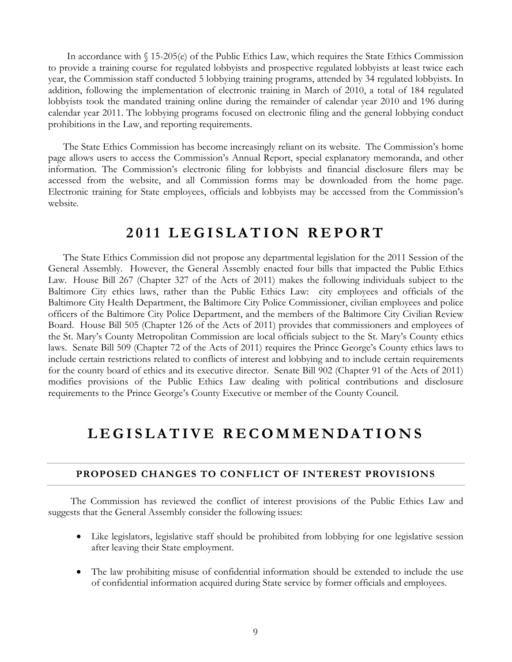In accordance with § 15-205(e) of the Public Ethics Law, which requires the State Ethics Commission to provide a training course for regulated lobbyists and prospective regulated lobbyists at least twice each year, the Commission staff conducted 5 lobbying training programs, attended by 34 regulated lobbyists. In addition, following the implementation of electronic training in March of 2010, a total of 184 regulated lobbyists took the mandated training online during the remainder of calendar year 2010 and 196 during calendar year 2011. The lobbying programs focused on electronic filing and the general lobbying conduct prohibitions in the Law, and reporting requirements.

The State Ethics Commission has become increasingly reliant on its website. The Commission's home page allows users to access the Commission's Annual Report, special explanatory memoranda, and other information. The Commission's electronic filing for lobbyists and financial disclosure filers may be accessed from the website, and all Commission forms may be downloaded from the home page. Electronic training for State employees, officials and lobbyists may be accessed from the Commission's website.

## **2011 LEGISLATION REPORT**

The State Ethics Commission did not propose any departmental legislation for the 2011 Session of the General Assembly. However, the General Assembly enacted four bills that impacted the Public Ethics Law. House Bill 267 (Chapter 327 of the Acts of 2011) makes the following individuals subject to the Baltimore City ethics laws, rather than the Public Ethics Law: city employees and officials of the Baltimore City Health Department, the Baltimore City Police Commissioner, civilian employees and police officers of the Baltimore City Police Department, and the members of the Baltimore City Civilian Review Board. House Bill 505 (Chapter 126 of the Acts of 2011) provides that commissioners and employees of the St. Mary's County Metropolitan Commission are local officials subject to the St. Mary's County ethics laws. Senate Bill 509 (Chapter 72 of the Acts of 2011) requires the Prince George's County ethics laws to include certain restrictions related to conflicts of interest and lobbying and to include certain requirements for the county board of ethics and its executive director. Senate Bill 902 (Chapter 91 of the Acts of 2011) modifies provisions of the Public Ethics Law dealing with political contributions and disclosure requirements to the Prince George's County Executive or member of the County Council.

## **LEGISLATIVE RECOMMENDATIONS**

#### **PROPOSED CHANGES TO CONFLICT OF INTEREST PROVISIONS**

 The Commission has reviewed the conflict of interest provisions of the Public Ethics Law and suggests that the General Assembly consider the following issues:

- Like legislators, legislative staff should be prohibited from lobbying for one legislative session after leaving their State employment.
- The law prohibiting misuse of confidential information should be extended to include the use of confidential information acquired during State service by former officials and employees.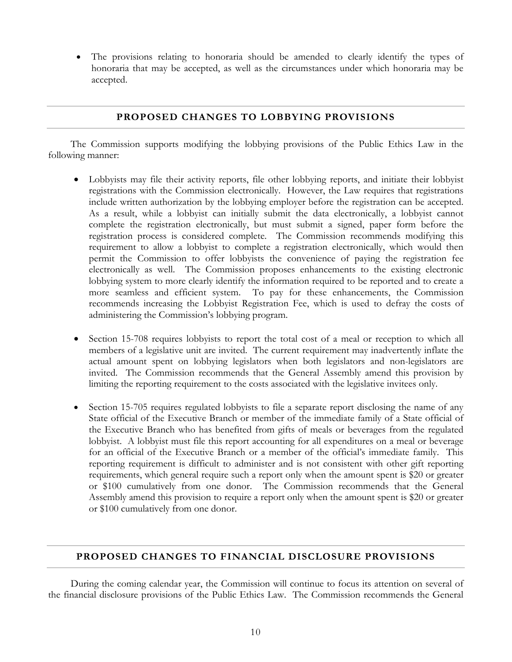• The provisions relating to honoraria should be amended to clearly identify the types of honoraria that may be accepted, as well as the circumstances under which honoraria may be accepted.

#### **PROPOSED CHANGES TO LOBBYING PROVISIONS**

 The Commission supports modifying the lobbying provisions of the Public Ethics Law in the following manner:

- Lobbyists may file their activity reports, file other lobbying reports, and initiate their lobbyist registrations with the Commission electronically. However, the Law requires that registrations include written authorization by the lobbying employer before the registration can be accepted. As a result, while a lobbyist can initially submit the data electronically, a lobbyist cannot complete the registration electronically, but must submit a signed, paper form before the registration process is considered complete. The Commission recommends modifying this requirement to allow a lobbyist to complete a registration electronically, which would then permit the Commission to offer lobbyists the convenience of paying the registration fee electronically as well. The Commission proposes enhancements to the existing electronic lobbying system to more clearly identify the information required to be reported and to create a more seamless and efficient system. To pay for these enhancements, the Commission recommends increasing the Lobbyist Registration Fee, which is used to defray the costs of administering the Commission's lobbying program.
- Section 15-708 requires lobbyists to report the total cost of a meal or reception to which all members of a legislative unit are invited. The current requirement may inadvertently inflate the actual amount spent on lobbying legislators when both legislators and non-legislators are invited. The Commission recommends that the General Assembly amend this provision by limiting the reporting requirement to the costs associated with the legislative invitees only.
- Section 15-705 requires regulated lobbyists to file a separate report disclosing the name of any State official of the Executive Branch or member of the immediate family of a State official of the Executive Branch who has benefited from gifts of meals or beverages from the regulated lobbyist. A lobbyist must file this report accounting for all expenditures on a meal or beverage for an official of the Executive Branch or a member of the official's immediate family. This reporting requirement is difficult to administer and is not consistent with other gift reporting requirements, which general require such a report only when the amount spent is \$20 or greater or \$100 cumulatively from one donor. The Commission recommends that the General Assembly amend this provision to require a report only when the amount spent is \$20 or greater or \$100 cumulatively from one donor.

#### **PROPOSED CHANGES TO FINANCIAL DISCLOSURE PROVISIONS**

 During the coming calendar year, the Commission will continue to focus its attention on several of the financial disclosure provisions of the Public Ethics Law. The Commission recommends the General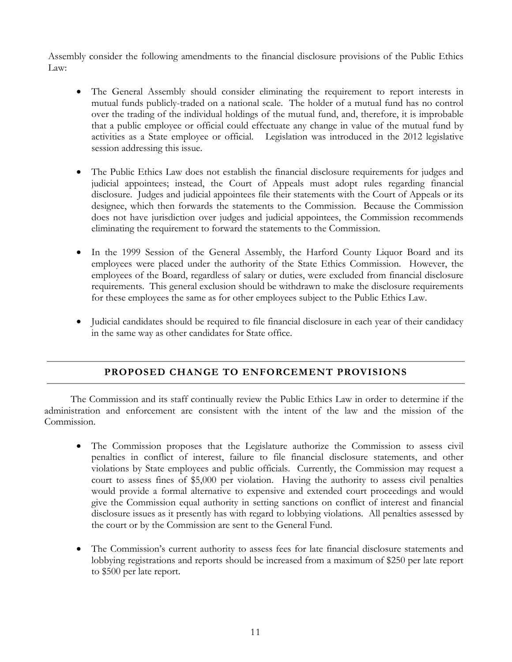Assembly consider the following amendments to the financial disclosure provisions of the Public Ethics Law:

- The General Assembly should consider eliminating the requirement to report interests in mutual funds publicly-traded on a national scale. The holder of a mutual fund has no control over the trading of the individual holdings of the mutual fund, and, therefore, it is improbable that a public employee or official could effectuate any change in value of the mutual fund by activities as a State employee or official. Legislation was introduced in the 2012 legislative session addressing this issue.
- The Public Ethics Law does not establish the financial disclosure requirements for judges and judicial appointees; instead, the Court of Appeals must adopt rules regarding financial disclosure. Judges and judicial appointees file their statements with the Court of Appeals or its designee, which then forwards the statements to the Commission. Because the Commission does not have jurisdiction over judges and judicial appointees, the Commission recommends eliminating the requirement to forward the statements to the Commission.
- In the 1999 Session of the General Assembly, the Harford County Liquor Board and its employees were placed under the authority of the State Ethics Commission. However, the employees of the Board, regardless of salary or duties, were excluded from financial disclosure requirements. This general exclusion should be withdrawn to make the disclosure requirements for these employees the same as for other employees subject to the Public Ethics Law.
- Judicial candidates should be required to file financial disclosure in each year of their candidacy in the same way as other candidates for State office.

#### **PROPOSED CHANGE TO ENFORCEMENT PROVISIONS**

 The Commission and its staff continually review the Public Ethics Law in order to determine if the administration and enforcement are consistent with the intent of the law and the mission of the Commission.

- The Commission proposes that the Legislature authorize the Commission to assess civil penalties in conflict of interest, failure to file financial disclosure statements, and other violations by State employees and public officials. Currently, the Commission may request a court to assess fines of \$5,000 per violation. Having the authority to assess civil penalties would provide a formal alternative to expensive and extended court proceedings and would give the Commission equal authority in setting sanctions on conflict of interest and financial disclosure issues as it presently has with regard to lobbying violations. All penalties assessed by the court or by the Commission are sent to the General Fund.
- The Commission's current authority to assess fees for late financial disclosure statements and lobbying registrations and reports should be increased from a maximum of \$250 per late report to \$500 per late report.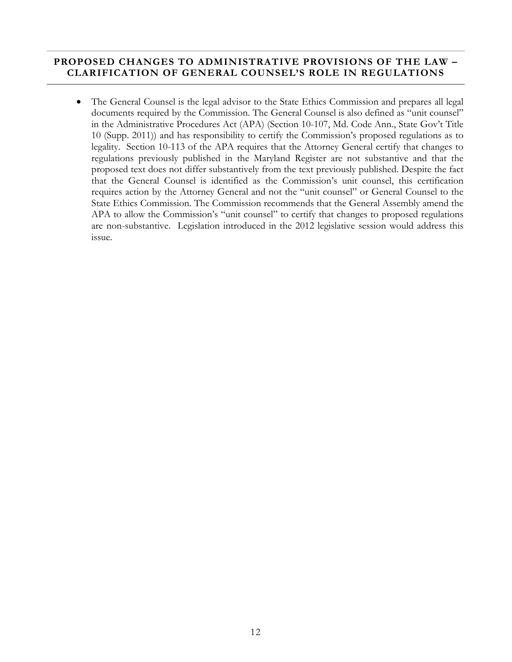#### **PROPOSED CHANGES TO ADMINISTRATIVE PROVISIONS OF THE LAW – CLARIFICATION OF GENERAL COUNSEL'S ROLE IN REGULATIONS**

• The General Counsel is the legal advisor to the State Ethics Commission and prepares all legal documents required by the Commission. The General Counsel is also defined as "unit counsel" in the Administrative Procedures Act (APA) (Section 10-107, Md. Code Ann., State Gov't Title 10 (Supp. 2011)) and has responsibility to certify the Commission's proposed regulations as to legality. Section 10-113 of the APA requires that the Attorney General certify that changes to regulations previously published in the Maryland Register are not substantive and that the proposed text does not differ substantively from the text previously published. Despite the fact that the General Counsel is identified as the Commission's unit counsel, this certification requires action by the Attorney General and not the "unit counsel" or General Counsel to the State Ethics Commission. The Commission recommends that the General Assembly amend the APA to allow the Commission's "unit counsel" to certify that changes to proposed regulations are non-substantive. Legislation introduced in the 2012 legislative session would address this issue.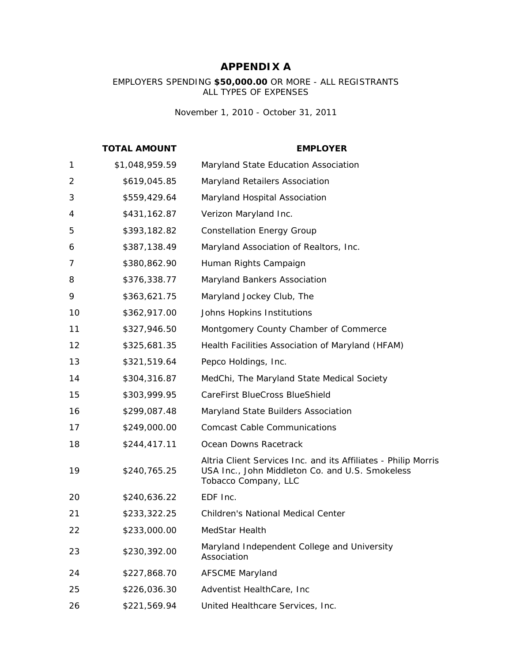#### **APPENDIX A**

EMPLOYERS SPENDING **\$50,000.00** OR MORE - ALL REGISTRANTS ALL TYPES OF EXPENSES

*November 1, 2010 - October 31, 2011*

|    | <b>TOTAL AMOUNT</b> | <b>EMPLOYER</b>                                                                                                                           |
|----|---------------------|-------------------------------------------------------------------------------------------------------------------------------------------|
| 1  | \$1,048,959.59      | Maryland State Education Association                                                                                                      |
| 2  | \$619,045.85        | Maryland Retailers Association                                                                                                            |
| 3  | \$559,429.64        | Maryland Hospital Association                                                                                                             |
| 4  | \$431,162.87        | Verizon Maryland Inc.                                                                                                                     |
| 5  | \$393,182.82        | <b>Constellation Energy Group</b>                                                                                                         |
| 6  | \$387,138.49        | Maryland Association of Realtors, Inc.                                                                                                    |
| 7  | \$380,862.90        | Human Rights Campaign                                                                                                                     |
| 8  | \$376,338.77        | Maryland Bankers Association                                                                                                              |
| 9  | \$363,621.75        | Maryland Jockey Club, The                                                                                                                 |
| 10 | \$362,917.00        | Johns Hopkins Institutions                                                                                                                |
| 11 | \$327,946.50        | Montgomery County Chamber of Commerce                                                                                                     |
| 12 | \$325,681.35        | Health Facilities Association of Maryland (HFAM)                                                                                          |
| 13 | \$321,519.64        | Pepco Holdings, Inc.                                                                                                                      |
| 14 | \$304,316.87        | MedChi, The Maryland State Medical Society                                                                                                |
| 15 | \$303,999.95        | CareFirst BlueCross BlueShield                                                                                                            |
| 16 | \$299,087.48        | Maryland State Builders Association                                                                                                       |
| 17 | \$249,000.00        | <b>Comcast Cable Communications</b>                                                                                                       |
| 18 | \$244,417.11        | Ocean Downs Racetrack                                                                                                                     |
| 19 | \$240,765.25        | Altria Client Services Inc. and its Affiliates - Philip Morris<br>USA Inc., John Middleton Co. and U.S. Smokeless<br>Tobacco Company, LLC |
| 20 | \$240,636.22        | EDF Inc.                                                                                                                                  |
| 21 | \$233,322.25        | <b>Children's National Medical Center</b>                                                                                                 |
| 22 | \$233,000.00        | MedStar Health                                                                                                                            |
| 23 | \$230,392.00        | Maryland Independent College and University<br>Association                                                                                |
| 24 | \$227,868.70        | <b>AFSCME Maryland</b>                                                                                                                    |
| 25 | \$226,036.30        | Adventist HealthCare, Inc                                                                                                                 |
| 26 | \$221,569.94        | United Healthcare Services, Inc.                                                                                                          |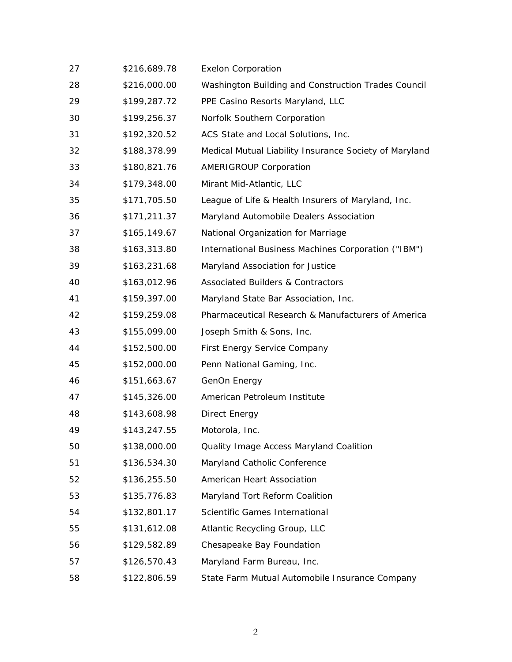| 27 | \$216,689.78 | <b>Exelon Corporation</b>                              |
|----|--------------|--------------------------------------------------------|
| 28 | \$216,000.00 | Washington Building and Construction Trades Council    |
| 29 | \$199,287.72 | PPE Casino Resorts Maryland, LLC                       |
| 30 | \$199,256.37 | Norfolk Southern Corporation                           |
| 31 | \$192,320.52 | ACS State and Local Solutions, Inc.                    |
| 32 | \$188,378.99 | Medical Mutual Liability Insurance Society of Maryland |
| 33 | \$180,821.76 | <b>AMERIGROUP Corporation</b>                          |
| 34 | \$179,348.00 | Mirant Mid-Atlantic, LLC                               |
| 35 | \$171,705.50 | League of Life & Health Insurers of Maryland, Inc.     |
| 36 | \$171,211.37 | Maryland Automobile Dealers Association                |
| 37 | \$165,149.67 | National Organization for Marriage                     |
| 38 | \$163,313.80 | International Business Machines Corporation ("IBM")    |
| 39 | \$163,231.68 | Maryland Association for Justice                       |
| 40 | \$163,012.96 | <b>Associated Builders &amp; Contractors</b>           |
| 41 | \$159,397.00 | Maryland State Bar Association, Inc.                   |
| 42 | \$159,259.08 | Pharmaceutical Research & Manufacturers of America     |
| 43 | \$155,099.00 | Joseph Smith & Sons, Inc.                              |
| 44 | \$152,500.00 | First Energy Service Company                           |
| 45 | \$152,000.00 | Penn National Gaming, Inc.                             |
| 46 | \$151,663.67 | GenOn Energy                                           |
| 47 | \$145,326.00 | American Petroleum Institute                           |
| 48 | \$143,608.98 | Direct Energy                                          |
| 49 | \$143,247.55 | Motorola, Inc.                                         |
| 50 | \$138,000.00 | Quality Image Access Maryland Coalition                |
| 51 | \$136,534.30 | Maryland Catholic Conference                           |
| 52 | \$136,255.50 | American Heart Association                             |
| 53 | \$135,776.83 | Maryland Tort Reform Coalition                         |
| 54 | \$132,801.17 | Scientific Games International                         |
| 55 | \$131,612.08 | Atlantic Recycling Group, LLC                          |
| 56 | \$129,582.89 | Chesapeake Bay Foundation                              |
| 57 | \$126,570.43 | Maryland Farm Bureau, Inc.                             |
| 58 | \$122,806.59 | State Farm Mutual Automobile Insurance Company         |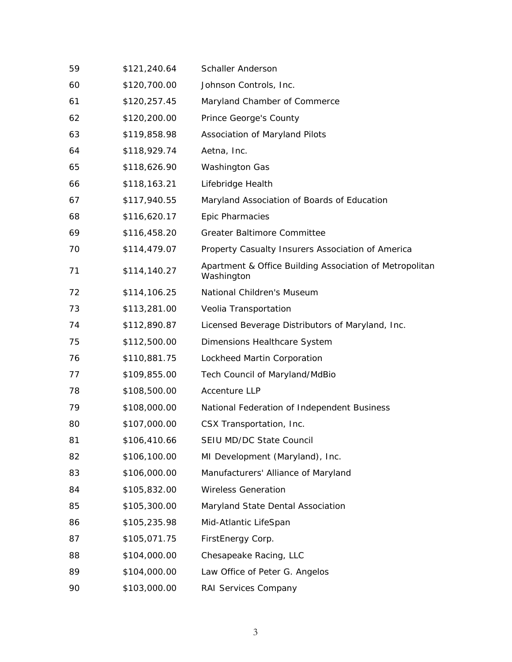| 59 | \$121,240.64 | <b>Schaller Anderson</b>                                              |
|----|--------------|-----------------------------------------------------------------------|
| 60 | \$120,700.00 | Johnson Controls, Inc.                                                |
| 61 | \$120,257.45 | Maryland Chamber of Commerce                                          |
| 62 | \$120,200.00 | Prince George's County                                                |
| 63 | \$119,858.98 | Association of Maryland Pilots                                        |
| 64 | \$118,929.74 | Aetna, Inc.                                                           |
| 65 | \$118,626.90 | <b>Washington Gas</b>                                                 |
| 66 | \$118,163.21 | Lifebridge Health                                                     |
| 67 | \$117,940.55 | Maryland Association of Boards of Education                           |
| 68 | \$116,620.17 | Epic Pharmacies                                                       |
| 69 | \$116,458.20 | <b>Greater Baltimore Committee</b>                                    |
| 70 | \$114,479.07 | Property Casualty Insurers Association of America                     |
| 71 | \$114,140.27 | Apartment & Office Building Association of Metropolitan<br>Washington |
| 72 | \$114,106.25 | National Children's Museum                                            |
| 73 | \$113,281.00 | Veolia Transportation                                                 |
| 74 | \$112,890.87 | Licensed Beverage Distributors of Maryland, Inc.                      |
| 75 | \$112,500.00 | Dimensions Healthcare System                                          |
| 76 | \$110,881.75 | Lockheed Martin Corporation                                           |
| 77 | \$109,855.00 | Tech Council of Maryland/MdBio                                        |
| 78 | \$108,500.00 | <b>Accenture LLP</b>                                                  |
| 79 | \$108,000.00 | National Federation of Independent Business                           |
| 80 | \$107,000.00 | CSX Transportation, Inc.                                              |
| 81 | \$106,410.66 | SEIU MD/DC State Council                                              |
| 82 | \$106,100.00 | MI Development (Maryland), Inc.                                       |
| 83 | \$106,000.00 | Manufacturers' Alliance of Maryland                                   |
| 84 | \$105,832.00 | <b>Wireless Generation</b>                                            |
| 85 | \$105,300.00 | Maryland State Dental Association                                     |
| 86 | \$105,235.98 | Mid-Atlantic LifeSpan                                                 |
| 87 | \$105,071.75 | FirstEnergy Corp.                                                     |
| 88 | \$104,000.00 | Chesapeake Racing, LLC                                                |
| 89 | \$104,000.00 | Law Office of Peter G. Angelos                                        |
| 90 | \$103,000.00 | RAI Services Company                                                  |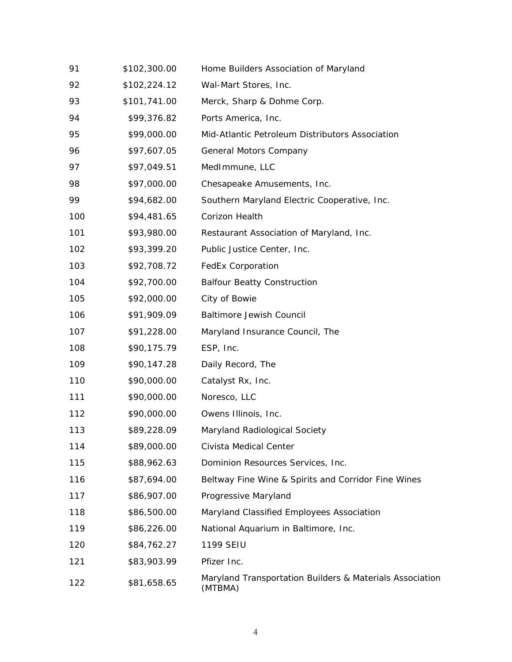| 91  | \$102,300.00 | Home Builders Association of Maryland                               |
|-----|--------------|---------------------------------------------------------------------|
| 92  | \$102,224.12 | Wal-Mart Stores, Inc.                                               |
| 93  | \$101,741.00 | Merck, Sharp & Dohme Corp.                                          |
| 94  | \$99,376.82  | Ports America, Inc.                                                 |
| 95  | \$99,000.00  | Mid-Atlantic Petroleum Distributors Association                     |
| 96  | \$97,607.05  | General Motors Company                                              |
| 97  | \$97,049.51  | MedImmune, LLC                                                      |
| 98  | \$97,000.00  | Chesapeake Amusements, Inc.                                         |
| 99  | \$94,682.00  | Southern Maryland Electric Cooperative, Inc.                        |
| 100 | \$94,481.65  | Corizon Health                                                      |
| 101 | \$93,980.00  | Restaurant Association of Maryland, Inc.                            |
| 102 | \$93,399.20  | Public Justice Center, Inc.                                         |
| 103 | \$92,708.72  | <b>FedEx Corporation</b>                                            |
| 104 | \$92,700.00  | <b>Balfour Beatty Construction</b>                                  |
| 105 | \$92,000.00  | City of Bowie                                                       |
| 106 | \$91,909.09  | <b>Baltimore Jewish Council</b>                                     |
| 107 | \$91,228.00  | Maryland Insurance Council, The                                     |
| 108 | \$90,175.79  | ESP, Inc.                                                           |
| 109 | \$90,147.28  | Daily Record, The                                                   |
| 110 | \$90,000.00  | Catalyst Rx, Inc.                                                   |
| 111 | \$90,000.00  | Noresco, LLC                                                        |
| 112 | \$90,000.00  | Owens Illinois, Inc.                                                |
| 113 | \$89,228.09  | Maryland Radiological Society                                       |
| 114 | \$89,000.00  | Civista Medical Center                                              |
| 115 | \$88,962.63  | Dominion Resources Services, Inc.                                   |
| 116 | \$87,694.00  | Beltway Fine Wine & Spirits and Corridor Fine Wines                 |
| 117 | \$86,907.00  | Progressive Maryland                                                |
| 118 | \$86,500.00  | Maryland Classified Employees Association                           |
| 119 | \$86,226.00  | National Aquarium in Baltimore, Inc.                                |
| 120 | \$84,762.27  | 1199 SEIU                                                           |
| 121 | \$83,903.99  | Pfizer Inc.                                                         |
| 122 | \$81,658.65  | Maryland Transportation Builders & Materials Association<br>(MTBMA) |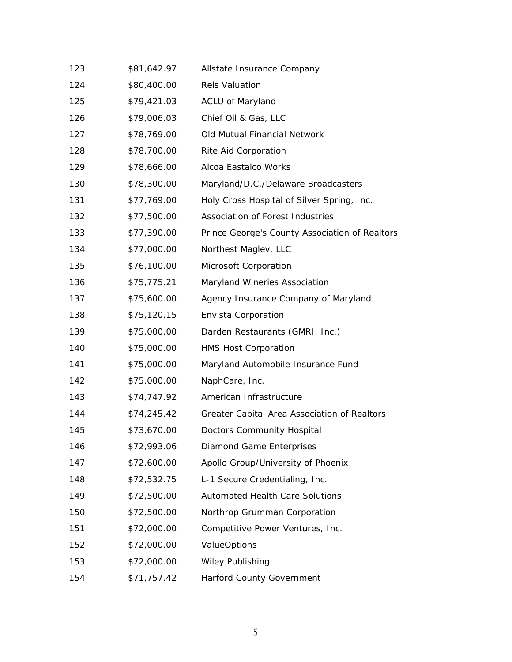| 123 | \$81,642.97 | Allstate Insurance Company                     |
|-----|-------------|------------------------------------------------|
| 124 | \$80,400.00 | <b>Rels Valuation</b>                          |
| 125 | \$79,421.03 | <b>ACLU of Maryland</b>                        |
| 126 | \$79,006.03 | Chief Oil & Gas, LLC                           |
| 127 | \$78,769.00 | Old Mutual Financial Network                   |
| 128 | \$78,700.00 | Rite Aid Corporation                           |
| 129 | \$78,666.00 | Alcoa Eastalco Works                           |
| 130 | \$78,300.00 | Maryland/D.C./Delaware Broadcasters            |
| 131 | \$77,769.00 | Holy Cross Hospital of Silver Spring, Inc.     |
| 132 | \$77,500.00 | Association of Forest Industries               |
| 133 | \$77,390.00 | Prince George's County Association of Realtors |
| 134 | \$77,000.00 | Northest Maglev, LLC                           |
| 135 | \$76,100.00 | Microsoft Corporation                          |
| 136 | \$75,775.21 | Maryland Wineries Association                  |
| 137 | \$75,600.00 | Agency Insurance Company of Maryland           |
| 138 | \$75,120.15 | Envista Corporation                            |
| 139 | \$75,000.00 | Darden Restaurants (GMRI, Inc.)                |
| 140 | \$75,000.00 | <b>HMS Host Corporation</b>                    |
| 141 | \$75,000.00 | Maryland Automobile Insurance Fund             |
| 142 | \$75,000.00 | NaphCare, Inc.                                 |
| 143 | \$74,747.92 | American Infrastructure                        |
| 144 | \$74,245.42 | Greater Capital Area Association of Realtors   |
| 145 | \$73,670.00 | Doctors Community Hospital                     |
| 146 | \$72,993.06 | <b>Diamond Game Enterprises</b>                |
| 147 | \$72,600.00 | Apollo Group/University of Phoenix             |
| 148 | \$72,532.75 | L-1 Secure Credentialing, Inc.                 |
| 149 | \$72,500.00 | <b>Automated Health Care Solutions</b>         |
| 150 | \$72,500.00 | Northrop Grumman Corporation                   |
| 151 | \$72,000.00 | Competitive Power Ventures, Inc.               |
| 152 | \$72,000.00 | <b>ValueOptions</b>                            |
| 153 | \$72,000.00 | <b>Wiley Publishing</b>                        |
| 154 | \$71,757.42 | Harford County Government                      |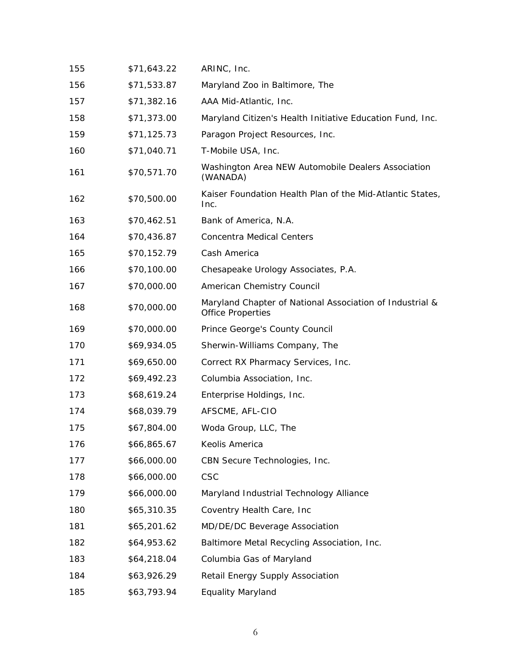| 155 | \$71,643.22 | ARINC, Inc.                                                                          |
|-----|-------------|--------------------------------------------------------------------------------------|
| 156 | \$71,533.87 | Maryland Zoo in Baltimore, The                                                       |
| 157 | \$71,382.16 | AAA Mid-Atlantic, Inc.                                                               |
| 158 | \$71,373.00 | Maryland Citizen's Health Initiative Education Fund, Inc.                            |
| 159 | \$71,125.73 | Paragon Project Resources, Inc.                                                      |
| 160 | \$71,040.71 | T-Mobile USA, Inc.                                                                   |
| 161 | \$70,571.70 | Washington Area NEW Automobile Dealers Association<br>(WANADA)                       |
| 162 | \$70,500.00 | Kaiser Foundation Health Plan of the Mid-Atlantic States,<br>Inc.                    |
| 163 | \$70,462.51 | Bank of America, N.A.                                                                |
| 164 | \$70,436.87 | <b>Concentra Medical Centers</b>                                                     |
| 165 | \$70,152.79 | Cash America                                                                         |
| 166 | \$70,100.00 | Chesapeake Urology Associates, P.A.                                                  |
| 167 | \$70,000.00 | American Chemistry Council                                                           |
| 168 | \$70,000.00 | Maryland Chapter of National Association of Industrial &<br><b>Office Properties</b> |
| 169 | \$70,000.00 | Prince George's County Council                                                       |
| 170 | \$69,934.05 | Sherwin-Williams Company, The                                                        |
| 171 | \$69,650.00 | Correct RX Pharmacy Services, Inc.                                                   |
| 172 | \$69,492.23 | Columbia Association, Inc.                                                           |
| 173 | \$68,619.24 | Enterprise Holdings, Inc.                                                            |
| 174 | \$68,039.79 | AFSCME, AFL-CIO                                                                      |
| 175 | \$67,804.00 | Woda Group, LLC, The                                                                 |
| 176 | \$66,865.67 | Keolis America                                                                       |
| 177 | \$66,000.00 | CBN Secure Technologies, Inc.                                                        |
| 178 | \$66,000.00 | <b>CSC</b>                                                                           |
| 179 | \$66,000.00 | Maryland Industrial Technology Alliance                                              |
| 180 | \$65,310.35 | Coventry Health Care, Inc.                                                           |
| 181 | \$65,201.62 | MD/DE/DC Beverage Association                                                        |
| 182 | \$64,953.62 | Baltimore Metal Recycling Association, Inc.                                          |
| 183 | \$64,218.04 | Columbia Gas of Maryland                                                             |
| 184 | \$63,926.29 | Retail Energy Supply Association                                                     |
| 185 | \$63,793.94 | <b>Equality Maryland</b>                                                             |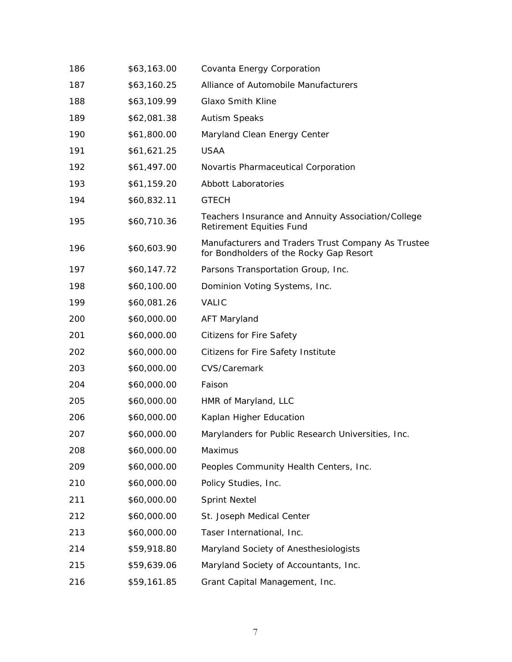| 186 | \$63,163.00 | Covanta Energy Corporation                                                                    |
|-----|-------------|-----------------------------------------------------------------------------------------------|
| 187 | \$63,160.25 | Alliance of Automobile Manufacturers                                                          |
| 188 | \$63,109.99 | <b>Glaxo Smith Kline</b>                                                                      |
| 189 | \$62,081.38 | <b>Autism Speaks</b>                                                                          |
| 190 | \$61,800.00 | Maryland Clean Energy Center                                                                  |
| 191 | \$61,621.25 | <b>USAA</b>                                                                                   |
| 192 | \$61,497.00 | Novartis Pharmaceutical Corporation                                                           |
| 193 | \$61,159.20 | <b>Abbott Laboratories</b>                                                                    |
| 194 | \$60,832.11 | <b>GTECH</b>                                                                                  |
| 195 | \$60,710.36 | Teachers Insurance and Annuity Association/College<br>Retirement Equities Fund                |
| 196 | \$60,603.90 | Manufacturers and Traders Trust Company As Trustee<br>for Bondholders of the Rocky Gap Resort |
| 197 | \$60,147.72 | Parsons Transportation Group, Inc.                                                            |
| 198 | \$60,100.00 | Dominion Voting Systems, Inc.                                                                 |
| 199 | \$60,081.26 | VALIC                                                                                         |
| 200 | \$60,000.00 | <b>AFT Maryland</b>                                                                           |
| 201 | \$60,000.00 | <b>Citizens for Fire Safety</b>                                                               |
| 202 | \$60,000.00 | Citizens for Fire Safety Institute                                                            |
| 203 | \$60,000.00 | CVS/Caremark                                                                                  |
| 204 | \$60,000.00 | Faison                                                                                        |
| 205 | \$60,000.00 | HMR of Maryland, LLC                                                                          |
| 206 | \$60,000.00 | Kaplan Higher Education                                                                       |
| 207 | \$60,000.00 | Marylanders for Public Research Universities, Inc.                                            |
| 208 | \$60,000.00 | Maximus                                                                                       |
| 209 | \$60,000.00 | Peoples Community Health Centers, Inc.                                                        |
| 210 | \$60,000.00 | Policy Studies, Inc.                                                                          |
| 211 | \$60,000.00 | <b>Sprint Nextel</b>                                                                          |
| 212 | \$60,000.00 | St. Joseph Medical Center                                                                     |
| 213 | \$60,000.00 | Taser International, Inc.                                                                     |
| 214 | \$59,918.80 | Maryland Society of Anesthesiologists                                                         |
| 215 | \$59,639.06 | Maryland Society of Accountants, Inc.                                                         |
| 216 | \$59,161.85 | Grant Capital Management, Inc.                                                                |
|     |             |                                                                                               |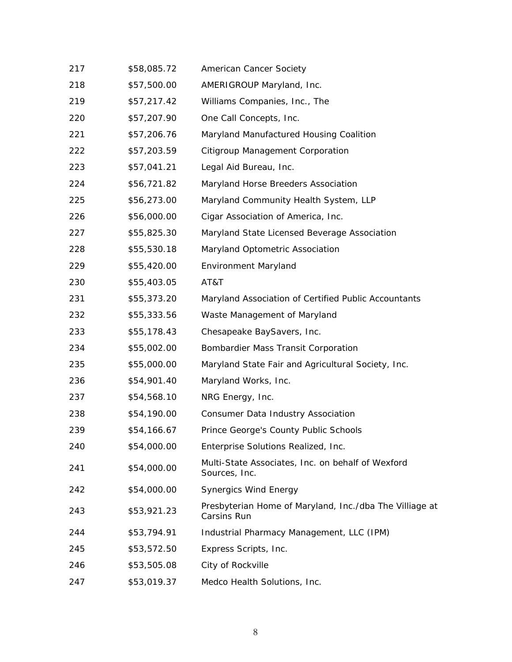| 217 | \$58,085.72 | American Cancer Society                                                |
|-----|-------------|------------------------------------------------------------------------|
| 218 | \$57,500.00 | AMERIGROUP Maryland, Inc.                                              |
| 219 | \$57,217.42 | Williams Companies, Inc., The                                          |
| 220 | \$57,207.90 | One Call Concepts, Inc.                                                |
| 221 | \$57,206.76 | Maryland Manufactured Housing Coalition                                |
| 222 | \$57,203.59 | Citigroup Management Corporation                                       |
| 223 | \$57,041.21 | Legal Aid Bureau, Inc.                                                 |
| 224 | \$56,721.82 | Maryland Horse Breeders Association                                    |
| 225 | \$56,273.00 | Maryland Community Health System, LLP                                  |
| 226 | \$56,000.00 | Cigar Association of America, Inc.                                     |
| 227 | \$55,825.30 | Maryland State Licensed Beverage Association                           |
| 228 | \$55,530.18 | Maryland Optometric Association                                        |
| 229 | \$55,420.00 | <b>Environment Maryland</b>                                            |
| 230 | \$55,403.05 | AT&T                                                                   |
| 231 | \$55,373.20 | Maryland Association of Certified Public Accountants                   |
| 232 | \$55,333.56 | Waste Management of Maryland                                           |
| 233 | \$55,178.43 | Chesapeake BaySavers, Inc.                                             |
| 234 | \$55,002.00 | Bombardier Mass Transit Corporation                                    |
| 235 | \$55,000.00 | Maryland State Fair and Agricultural Society, Inc.                     |
| 236 | \$54,901.40 | Maryland Works, Inc.                                                   |
| 237 | \$54,568.10 | NRG Energy, Inc.                                                       |
| 238 | \$54,190.00 | Consumer Data Industry Association                                     |
| 239 | \$54,166.67 | Prince George's County Public Schools                                  |
| 240 | \$54,000.00 | Enterprise Solutions Realized, Inc.                                    |
| 241 | \$54,000.00 | Multi-State Associates, Inc. on behalf of Wexford<br>Sources, Inc.     |
| 242 | \$54,000.00 | <b>Synergics Wind Energy</b>                                           |
| 243 | \$53,921.23 | Presbyterian Home of Maryland, Inc./dba The Villiage at<br>Carsins Run |
| 244 | \$53,794.91 | Industrial Pharmacy Management, LLC (IPM)                              |
| 245 | \$53,572.50 | Express Scripts, Inc.                                                  |
| 246 | \$53,505.08 | City of Rockville                                                      |
| 247 | \$53,019.37 | Medco Health Solutions, Inc.                                           |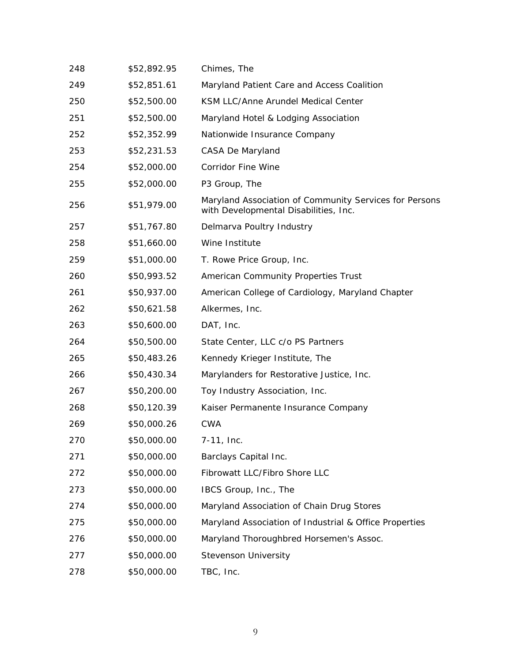| 248 | \$52,892.95 | Chimes, The                                                                                     |
|-----|-------------|-------------------------------------------------------------------------------------------------|
| 249 | \$52,851.61 | Maryland Patient Care and Access Coalition                                                      |
| 250 | \$52,500.00 | KSM LLC/Anne Arundel Medical Center                                                             |
| 251 | \$52,500.00 | Maryland Hotel & Lodging Association                                                            |
| 252 | \$52,352.99 | Nationwide Insurance Company                                                                    |
| 253 | \$52,231.53 | CASA De Maryland                                                                                |
| 254 | \$52,000.00 | <b>Corridor Fine Wine</b>                                                                       |
| 255 | \$52,000.00 | P3 Group, The                                                                                   |
| 256 | \$51,979.00 | Maryland Association of Community Services for Persons<br>with Developmental Disabilities, Inc. |
| 257 | \$51,767.80 | Delmarva Poultry Industry                                                                       |
| 258 | \$51,660.00 | Wine Institute                                                                                  |
| 259 | \$51,000.00 | T. Rowe Price Group, Inc.                                                                       |
| 260 | \$50,993.52 | American Community Properties Trust                                                             |
| 261 | \$50,937.00 | American College of Cardiology, Maryland Chapter                                                |
| 262 | \$50,621.58 | Alkermes, Inc.                                                                                  |
| 263 | \$50,600.00 | DAT, Inc.                                                                                       |
| 264 | \$50,500.00 | State Center, LLC c/o PS Partners                                                               |
| 265 | \$50,483.26 | Kennedy Krieger Institute, The                                                                  |
| 266 | \$50,430.34 | Marylanders for Restorative Justice, Inc.                                                       |
| 267 | \$50,200.00 | Toy Industry Association, Inc.                                                                  |
| 268 | \$50,120.39 | Kaiser Permanente Insurance Company                                                             |
| 269 | \$50,000.26 | <b>CWA</b>                                                                                      |
| 270 | \$50,000.00 | 7-11, Inc.                                                                                      |
| 271 | \$50,000.00 | Barclays Capital Inc.                                                                           |
| 272 | \$50,000.00 | Fibrowatt LLC/Fibro Shore LLC                                                                   |
| 273 | \$50,000.00 | IBCS Group, Inc., The                                                                           |
| 274 | \$50,000.00 | Maryland Association of Chain Drug Stores                                                       |
| 275 | \$50,000.00 | Maryland Association of Industrial & Office Properties                                          |
| 276 | \$50,000.00 | Maryland Thoroughbred Horsemen's Assoc.                                                         |
| 277 | \$50,000.00 | <b>Stevenson University</b>                                                                     |
| 278 | \$50,000.00 | TBC, Inc.                                                                                       |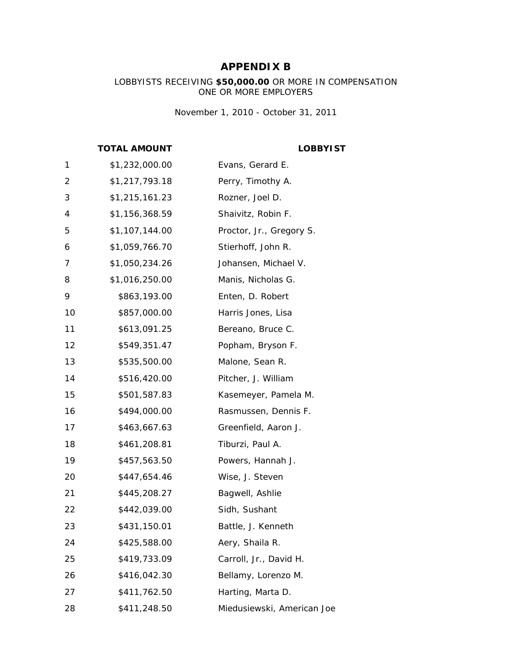#### **APPENDIX B**

#### LOBBYISTS RECEIVING **\$50,000.00** OR MORE IN COMPENSATION ONE OR MORE EMPLOYERS

*November 1, 2010 - October 31, 2011* 

#### **TOTAL AMOUNT LOBBYIST**

| 1  | \$1,232,000.00 | Evans, Gerard E.           |
|----|----------------|----------------------------|
| 2  | \$1,217,793.18 | Perry, Timothy A.          |
| 3  | \$1,215,161.23 | Rozner, Joel D.            |
| 4  | \$1,156,368.59 | Shaivitz, Robin F.         |
| 5  | \$1,107,144.00 | Proctor, Jr., Gregory S.   |
| 6  | \$1,059,766.70 | Stierhoff, John R.         |
| 7  | \$1,050,234.26 | Johansen, Michael V.       |
| 8  | \$1,016,250.00 | Manis, Nicholas G.         |
| 9  | \$863,193.00   | Enten, D. Robert           |
| 10 | \$857,000.00   | Harris Jones, Lisa         |
| 11 | \$613,091.25   | Bereano, Bruce C.          |
| 12 | \$549,351.47   | Popham, Bryson F.          |
| 13 | \$535,500.00   | Malone, Sean R.            |
| 14 | \$516,420.00   | Pitcher, J. William        |
| 15 | \$501,587.83   | Kasemeyer, Pamela M.       |
| 16 | \$494,000.00   | Rasmussen, Dennis F.       |
| 17 | \$463,667.63   | Greenfield, Aaron J.       |
| 18 | \$461,208.81   | Tiburzi, Paul A.           |
| 19 | \$457,563.50   | Powers, Hannah J.          |
| 20 | \$447,654.46   | Wise, J. Steven            |
| 21 | \$445,208.27   | Bagwell, Ashlie            |
| 22 | \$442,039.00   | Sidh, Sushant              |
| 23 | \$431,150.01   | Battle, J. Kenneth         |
| 24 | \$425,588.00   | Aery, Shaila R.            |
| 25 | \$419,733.09   | Carroll, Jr., David H.     |
| 26 | \$416,042.30   | Bellamy, Lorenzo M.        |
| 27 | \$411,762.50   | Harting, Marta D.          |
| 28 | \$411,248.50   | Miedusiewski, American Joe |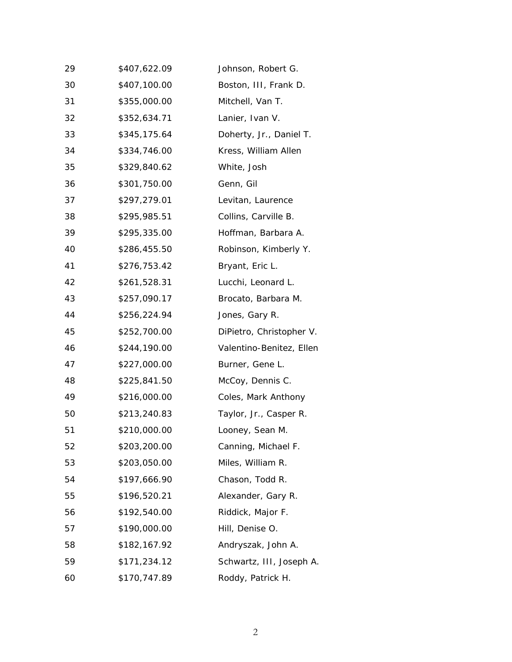| 29 | \$407,622.09 | Johnson, Robert G.       |
|----|--------------|--------------------------|
| 30 | \$407,100.00 | Boston, III, Frank D.    |
| 31 | \$355,000.00 | Mitchell, Van T.         |
| 32 | \$352,634.71 | Lanier, Ivan V.          |
| 33 | \$345,175.64 | Doherty, Jr., Daniel T.  |
| 34 | \$334,746.00 | Kress, William Allen     |
| 35 | \$329,840.62 | White, Josh              |
| 36 | \$301,750.00 | Genn, Gil                |
| 37 | \$297,279.01 | Levitan, Laurence        |
| 38 | \$295,985.51 | Collins, Carville B.     |
| 39 | \$295,335.00 | Hoffman, Barbara A.      |
| 40 | \$286,455.50 | Robinson, Kimberly Y.    |
| 41 | \$276,753.42 | Bryant, Eric L.          |
| 42 | \$261,528.31 | Lucchi, Leonard L.       |
| 43 | \$257,090.17 | Brocato, Barbara M.      |
| 44 | \$256,224.94 | Jones, Gary R.           |
| 45 | \$252,700.00 | DiPietro, Christopher V. |
| 46 | \$244,190.00 | Valentino-Benitez, Ellen |
| 47 | \$227,000.00 | Burner, Gene L.          |
| 48 | \$225,841.50 | McCoy, Dennis C.         |
| 49 | \$216,000.00 | Coles, Mark Anthony      |
| 50 | \$213,240.83 | Taylor, Jr., Casper R.   |
| 51 | \$210,000.00 | Looney, Sean M.          |
| 52 | \$203,200.00 | Canning, Michael F.      |
| 53 | \$203,050.00 | Miles, William R.        |
| 54 | \$197,666.90 | Chason, Todd R.          |
| 55 | \$196,520.21 | Alexander, Gary R.       |
| 56 | \$192,540.00 | Riddick, Major F.        |
| 57 | \$190,000.00 | Hill, Denise O.          |
| 58 | \$182,167.92 | Andryszak, John A.       |
| 59 | \$171,234.12 | Schwartz, III, Joseph A. |
| 60 | \$170,747.89 | Roddy, Patrick H.        |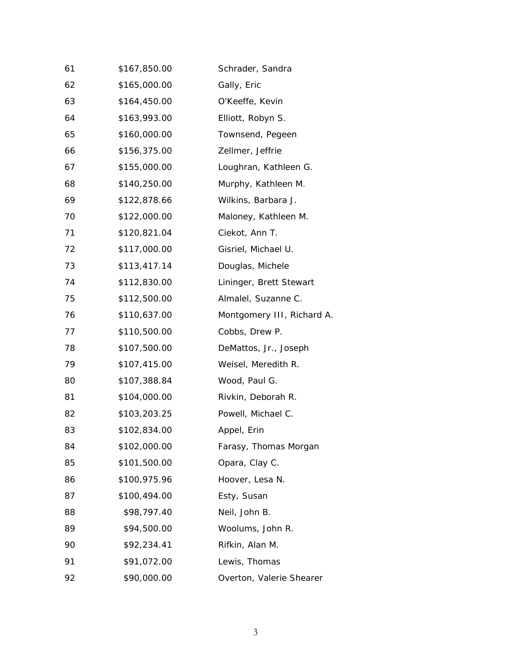| 61 | \$167,850.00 | Schrader, Sandra           |
|----|--------------|----------------------------|
| 62 | \$165,000.00 | Gally, Eric                |
| 63 | \$164,450.00 | O'Keeffe, Kevin            |
| 64 | \$163,993.00 | Elliott, Robyn S.          |
| 65 | \$160,000.00 | Townsend, Pegeen           |
| 66 | \$156,375.00 | Zellmer, Jeffrie           |
| 67 | \$155,000.00 | Loughran, Kathleen G.      |
| 68 | \$140,250.00 | Murphy, Kathleen M.        |
| 69 | \$122,878.66 | Wilkins, Barbara J.        |
| 70 | \$122,000.00 | Maloney, Kathleen M.       |
| 71 | \$120,821.04 | Ciekot, Ann T.             |
| 72 | \$117,000.00 | Gisriel, Michael U.        |
| 73 | \$113,417.14 | Douglas, Michele           |
| 74 | \$112,830.00 | Lininger, Brett Stewart    |
| 75 | \$112,500.00 | Almalel, Suzanne C.        |
| 76 | \$110,637.00 | Montgomery III, Richard A. |
| 77 | \$110,500.00 | Cobbs, Drew P.             |
| 78 | \$107,500.00 | DeMattos, Jr., Joseph      |
| 79 | \$107,415.00 | Weisel, Meredith R.        |
| 80 | \$107,388.84 | Wood, Paul G.              |
| 81 | \$104,000.00 | Rivkin, Deborah R.         |
| 82 | \$103,203.25 | Powell, Michael C.         |
| 83 | \$102,834.00 | Appel, Erin                |
| 84 | \$102,000.00 | Farasy, Thomas Morgan      |
| 85 | \$101,500.00 | Opara, Clay C.             |
| 86 | \$100,975.96 | Hoover, Lesa N.            |
| 87 | \$100,494.00 | Esty, Susan                |
| 88 | \$98,797.40  | Neil, John B.              |
| 89 | \$94,500.00  | Woolums, John R.           |
| 90 | \$92,234.41  | Rifkin, Alan M.            |
| 91 | \$91,072.00  | Lewis, Thomas              |
| 92 | \$90,000.00  | Overton, Valerie Shearer   |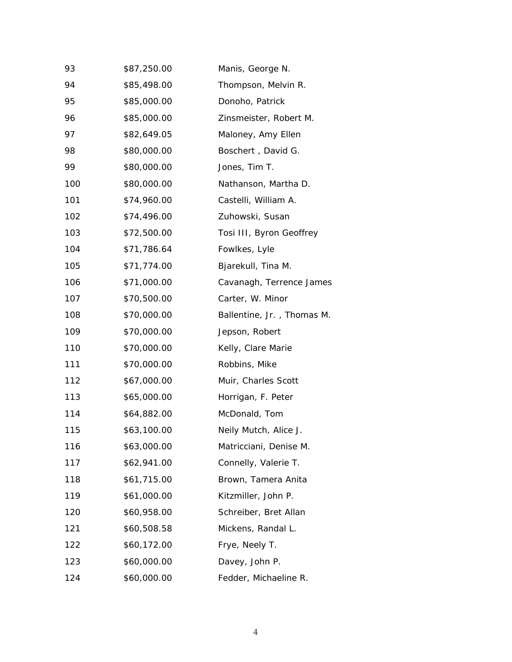| 93  | \$87,250.00 | Manis, George N.           |
|-----|-------------|----------------------------|
| 94  | \$85,498.00 | Thompson, Melvin R.        |
| 95  | \$85,000.00 | Donoho, Patrick            |
| 96  | \$85,000.00 | Zinsmeister, Robert M.     |
| 97  | \$82,649.05 | Maloney, Amy Ellen         |
| 98  | \$80,000.00 | Boschert, David G.         |
| 99  | \$80,000.00 | Jones, Tim T.              |
| 100 | \$80,000.00 | Nathanson, Martha D.       |
| 101 | \$74,960.00 | Castelli, William A.       |
| 102 | \$74,496.00 | Zuhowski, Susan            |
| 103 | \$72,500.00 | Tosi III, Byron Geoffrey   |
| 104 | \$71,786.64 | Fowlkes, Lyle              |
| 105 | \$71,774.00 | Bjarekull, Tina M.         |
| 106 | \$71,000.00 | Cavanagh, Terrence James   |
| 107 | \$70,500.00 | Carter, W. Minor           |
| 108 | \$70,000.00 | Ballentine, Jr., Thomas M. |
| 109 | \$70,000.00 | Jepson, Robert             |
| 110 | \$70,000.00 | Kelly, Clare Marie         |
| 111 | \$70,000.00 | Robbins, Mike              |
| 112 | \$67,000.00 | Muir, Charles Scott        |
| 113 | \$65,000.00 | Horrigan, F. Peter         |
| 114 | \$64,882.00 | McDonald, Tom              |
| 115 | \$63,100.00 | Neily Mutch, Alice J.      |
| 116 | \$63,000.00 | Matricciani, Denise M.     |
| 117 | \$62,941.00 | Connelly, Valerie T.       |
| 118 | \$61,715.00 | Brown, Tamera Anita        |
| 119 | \$61,000.00 | Kitzmiller, John P.        |
| 120 | \$60,958.00 | Schreiber, Bret Allan      |
| 121 | \$60,508.58 | Mickens, Randal L.         |
| 122 | \$60,172.00 | Frye, Neely T.             |
| 123 | \$60,000.00 | Davey, John P.             |
| 124 | \$60,000.00 | Fedder, Michaeline R.      |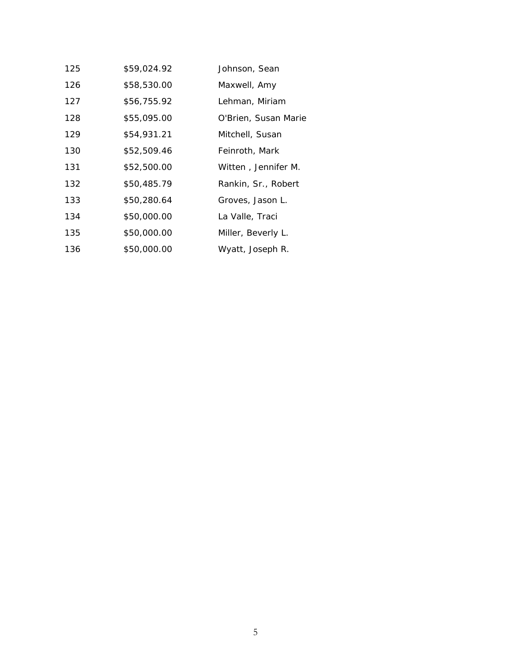| 125 | \$59,024.92 | Johnson, Sean        |
|-----|-------------|----------------------|
| 126 | \$58,530.00 | Maxwell, Amy         |
| 127 | \$56,755.92 | Lehman, Miriam       |
| 128 | \$55,095.00 | O'Brien, Susan Marie |
| 129 | \$54,931.21 | Mitchell, Susan      |
| 130 | \$52,509.46 | Feinroth, Mark       |
| 131 | \$52,500.00 | Witten, Jennifer M.  |
| 132 | \$50,485.79 | Rankin, Sr., Robert  |
| 133 | \$50,280.64 | Groves, Jason L.     |
| 134 | \$50,000.00 | La Valle, Traci      |
| 135 | \$50,000.00 | Miller, Beverly L.   |
| 136 | \$50,000.00 | Wyatt, Joseph R.     |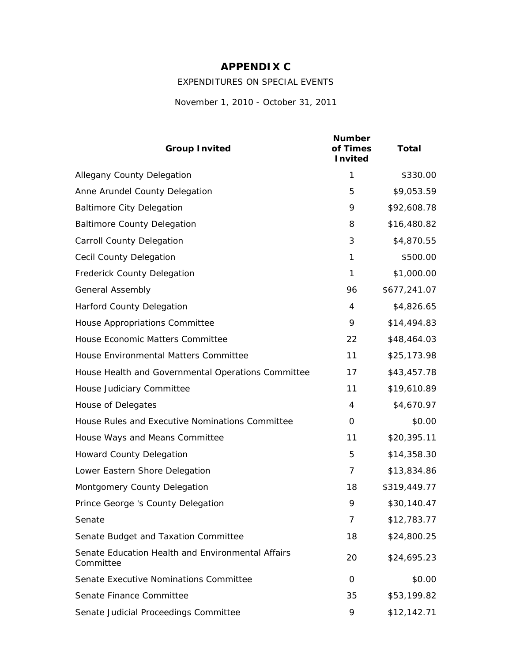### **APPENDIX C**

EXPENDITURES ON SPECIAL EVENTS

*November 1, 2010 - October 31, 2011* 

| <b>Group Invited</b>                                           | <b>Number</b><br>of Times<br><b>Invited</b> | <b>Total</b> |
|----------------------------------------------------------------|---------------------------------------------|--------------|
| <b>Allegany County Delegation</b>                              | 1                                           | \$330.00     |
| Anne Arundel County Delegation                                 | 5                                           | \$9,053.59   |
| <b>Baltimore City Delegation</b>                               | 9                                           | \$92,608.78  |
| <b>Baltimore County Delegation</b>                             | 8                                           | \$16,480.82  |
| <b>Carroll County Delegation</b>                               | 3                                           | \$4,870.55   |
| <b>Cecil County Delegation</b>                                 | 1                                           | \$500.00     |
| Frederick County Delegation                                    | 1                                           | \$1,000.00   |
| <b>General Assembly</b>                                        | 96                                          | \$677,241.07 |
| <b>Harford County Delegation</b>                               | 4                                           | \$4,826.65   |
| House Appropriations Committee                                 | 9                                           | \$14,494.83  |
| House Economic Matters Committee                               | 22                                          | \$48,464.03  |
| House Environmental Matters Committee                          | 11                                          | \$25,173.98  |
| House Health and Governmental Operations Committee             | 17                                          | \$43,457.78  |
| House Judiciary Committee                                      | 11                                          | \$19,610.89  |
| House of Delegates                                             | 4                                           | \$4,670.97   |
| House Rules and Executive Nominations Committee                | 0                                           | \$0.00       |
| House Ways and Means Committee                                 | 11                                          | \$20,395.11  |
| <b>Howard County Delegation</b>                                | 5                                           | \$14,358.30  |
| Lower Eastern Shore Delegation                                 | 7                                           | \$13,834.86  |
| Montgomery County Delegation                                   | 18                                          | \$319,449.77 |
| Prince George 's County Delegation                             | 9                                           | \$30,140.47  |
| Senate                                                         | 7                                           | \$12,783.77  |
| Senate Budget and Taxation Committee                           | 18                                          | \$24,800.25  |
| Senate Education Health and Environmental Affairs<br>Committee | 20                                          | \$24,695.23  |
| Senate Executive Nominations Committee                         | 0                                           | \$0.00       |
| Senate Finance Committee                                       | 35                                          | \$53,199.82  |
| Senate Judicial Proceedings Committee                          | 9                                           | \$12,142.71  |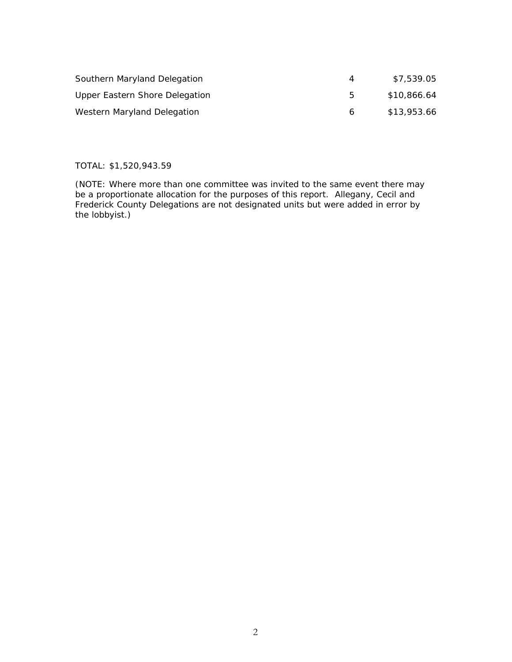| Southern Maryland Delegation   |    | \$7,539.05  |
|--------------------------------|----|-------------|
| Upper Eastern Shore Delegation | h  | \$10,866.64 |
| Western Maryland Delegation    | 6. | \$13,953.66 |

#### TOTAL: \$1,520,943.59

(NOTE: Where more than one committee was invited to the same event there may be a proportionate allocation for the purposes of this report. Allegany, Cecil and Frederick County Delegations are not designated units but were added in error by the lobbyist.)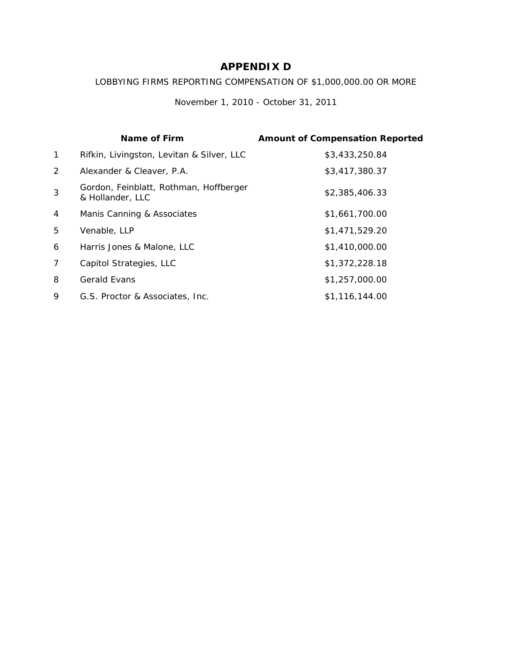#### **APPENDIX D**

#### LOBBYING FIRMS REPORTING COMPENSATION OF \$1,000,000.00 OR MORE

*November 1, 2010 - October 31, 2011*

|              | Name of Firm                                               | <b>Amount of Compensation Reported</b> |
|--------------|------------------------------------------------------------|----------------------------------------|
| $\mathbf{1}$ | Rifkin, Livingston, Levitan & Silver, LLC                  | \$3,433,250.84                         |
| 2            | Alexander & Cleaver, P.A.                                  | \$3,417,380.37                         |
| 3            | Gordon, Feinblatt, Rothman, Hoffberger<br>& Hollander, LLC | \$2,385,406.33                         |
| 4            | Manis Canning & Associates                                 | \$1,661,700.00                         |
| 5            | Venable, LLP                                               | \$1,471,529.20                         |
| 6            | Harris Jones & Malone, LLC                                 | \$1,410,000.00                         |
| 7            | Capitol Strategies, LLC                                    | \$1,372,228.18                         |
| 8            | <b>Gerald Evans</b>                                        | \$1,257,000.00                         |
| 9            | G.S. Proctor & Associates, Inc.                            | \$1,116,144.00                         |